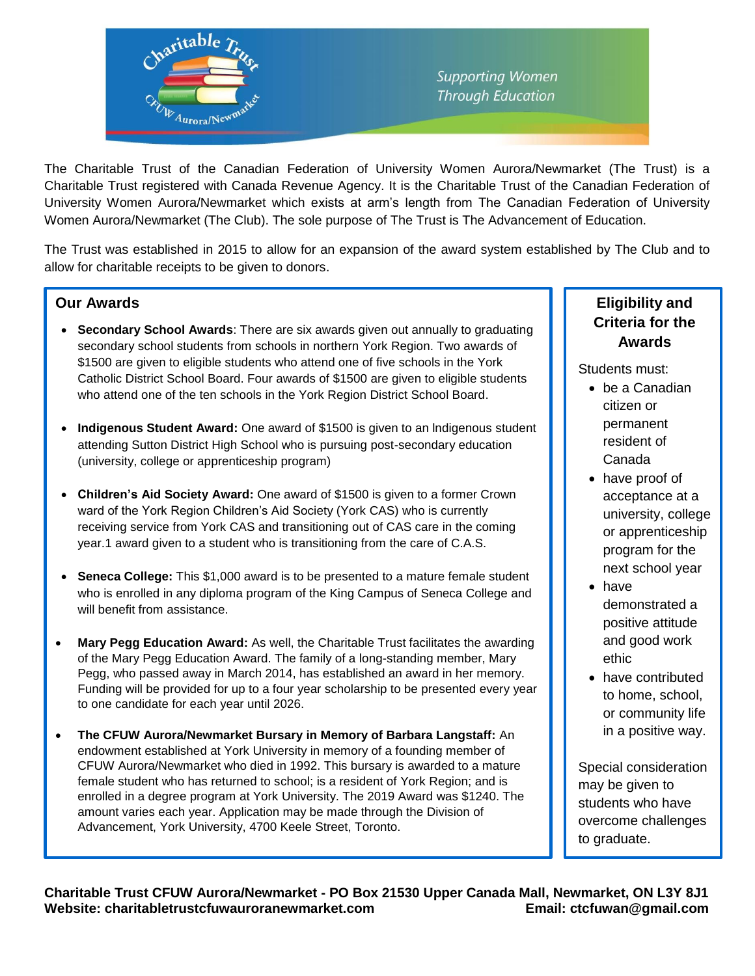

The Charitable Trust of the Canadian Federation of University Women Aurora/Newmarket (The Trust) is a Charitable Trust registered with Canada Revenue Agency. It is the Charitable Trust of the Canadian Federation of University Women Aurora/Newmarket which exists at arm's length from The Canadian Federation of University Women Aurora/Newmarket (The Club). The sole purpose of The Trust is The Advancement of Education.

The Trust was established in 2015 to allow for an expansion of the award system established by The Club and to allow for charitable receipts to be given to donors.

## **Our Awards**

B

- **Secondary School Awards**: There are six awards given out annually to graduating secondary school students from schools in northern York Region. Two awards of \$1500 are given to eligible students who attend one of five schools in the York Catholic District School Board. Four awards of \$1500 are given to eligible students who attend one of the ten schools in the York Region District School Board.
- **Indigenous Student Award:** One award of \$1500 is given to an lndigenous student attending Sutton District High School who is pursuing post-secondary education (university, college or apprenticeship program)
- **Children's Aid Society Award:** One award of \$1500 is given to a former Crown ward of the York Region Children's Aid Society (York CAS) who is currently receiving service from York CAS and transitioning out of CAS care in the coming year.1 award given to a student who is transitioning from the care of C.A.S.
- **Seneca College:** This \$1,000 award is to be presented to a mature female student who is enrolled in any diploma program of the King Campus of Seneca College and will benefit from assistance.
- **Mary Pegg Education Award:** As well, the Charitable Trust facilitates the awarding of the Mary Pegg Education Award. The family of a long-standing member, Mary Pegg, who passed away in March 2014, has established an award in her memory. Funding will be provided for up to a four year scholarship to be presented every year to one candidate for each year until 2026.
- **The CFUW Aurora/Newmarket Bursary in Memory of Barbara Langstaff:** An endowment established at York University in memory of a founding member of CFUW Aurora/Newmarket who died in 1992. This bursary is awarded to a mature female student who has returned to school; is a resident of York Region; and is enrolled in a degree program at York University. The 2019 Award was \$1240. The amount varies each year. Application may be made through the Division of Advancement, York University, 4700 Keele Street, Toronto.

## **Eligibility and Criteria for the Awards**

Students must:

- be a Canadian citizen or permanent resident of Canada
- have proof of acceptance at a university, college or apprenticeship program for the next school year
- have demonstrated a positive attitude and good work ethic
- have contributed to home, school, or community life in a positive way.

Special consideration may be given to students who have overcome challenges to graduate.

**Charitable Trust CFUW Aurora/Newmarket - PO Box 21530 Upper Canada Mall, Newmarket, ON L3Y 8J1** Website: charitabletrustcfuwauroranewmarket.com **Email: ctcfuwan@gmail.com**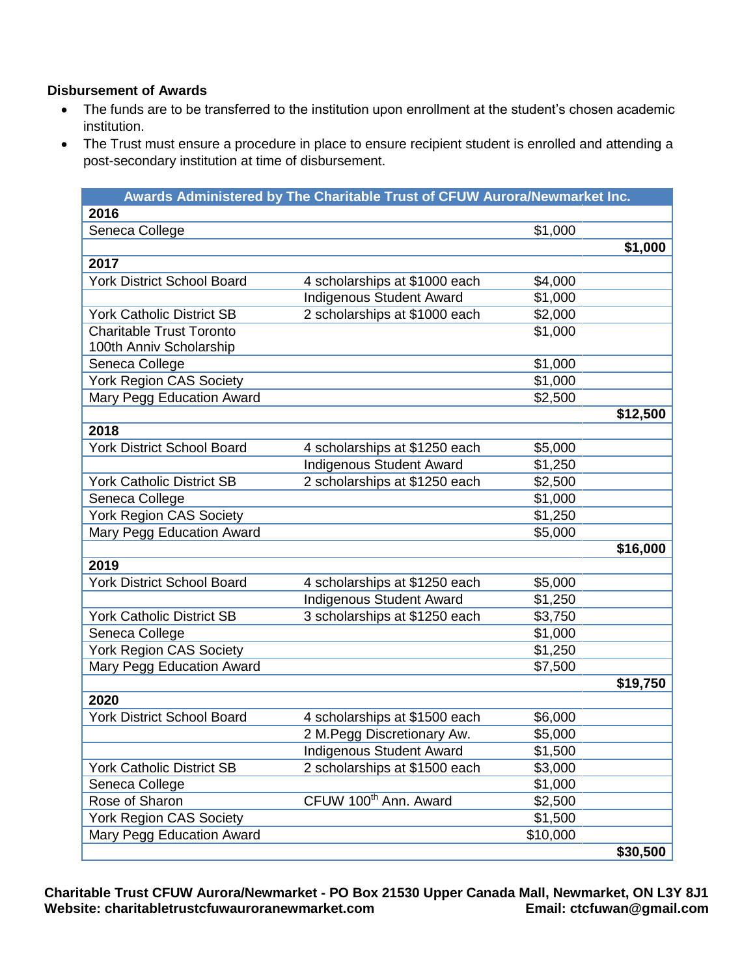## **Disbursement of Awards**

- The funds are to be transferred to the institution upon enrollment at the student's chosen academic institution.
- The Trust must ensure a procedure in place to ensure recipient student is enrolled and attending a post-secondary institution at time of disbursement.

|                                   | Awards Administered by The Charitable Trust of CFUW Aurora/Newmarket Inc. |          |          |
|-----------------------------------|---------------------------------------------------------------------------|----------|----------|
| 2016                              |                                                                           |          |          |
| Seneca College                    |                                                                           | \$1,000  |          |
|                                   |                                                                           |          | \$1,000  |
| 2017                              |                                                                           |          |          |
| <b>York District School Board</b> | 4 scholarships at \$1000 each                                             | \$4,000  |          |
|                                   | <b>Indigenous Student Award</b>                                           | \$1,000  |          |
| <b>York Catholic District SB</b>  | 2 scholarships at \$1000 each                                             | \$2,000  |          |
| <b>Charitable Trust Toronto</b>   |                                                                           | \$1,000  |          |
| 100th Anniv Scholarship           |                                                                           |          |          |
| Seneca College                    |                                                                           | \$1,000  |          |
| <b>York Region CAS Society</b>    |                                                                           | \$1,000  |          |
| Mary Pegg Education Award         |                                                                           | \$2,500  |          |
|                                   |                                                                           |          | \$12,500 |
| 2018                              |                                                                           |          |          |
| <b>York District School Board</b> | 4 scholarships at \$1250 each                                             | \$5,000  |          |
|                                   | <b>Indigenous Student Award</b>                                           | \$1,250  |          |
| <b>York Catholic District SB</b>  | 2 scholarships at \$1250 each                                             | \$2,500  |          |
| Seneca College                    |                                                                           | \$1,000  |          |
| <b>York Region CAS Society</b>    |                                                                           | \$1,250  |          |
| Mary Pegg Education Award         |                                                                           | \$5,000  |          |
|                                   |                                                                           |          | \$16,000 |
| 2019                              |                                                                           |          |          |
| <b>York District School Board</b> | 4 scholarships at \$1250 each                                             | \$5,000  |          |
|                                   | <b>Indigenous Student Award</b>                                           | \$1,250  |          |
| <b>York Catholic District SB</b>  | 3 scholarships at \$1250 each                                             | \$3,750  |          |
| Seneca College                    |                                                                           | \$1,000  |          |
| <b>York Region CAS Society</b>    |                                                                           | \$1,250  |          |
| Mary Pegg Education Award         |                                                                           | \$7,500  |          |
|                                   |                                                                           |          | \$19,750 |
| 2020                              |                                                                           |          |          |
| <b>York District School Board</b> | 4 scholarships at \$1500 each                                             | \$6,000  |          |
|                                   | 2 M. Pegg Discretionary Aw.                                               | \$5,000  |          |
|                                   | Indigenous Student Award                                                  | \$1,500  |          |
| <b>York Catholic District SB</b>  | 2 scholarships at \$1500 each                                             | \$3,000  |          |
| Seneca College                    |                                                                           | \$1,000  |          |
| Rose of Sharon                    | CFUW 100 <sup>th</sup> Ann. Award                                         | \$2,500  |          |
| York Region CAS Society           |                                                                           | \$1,500  |          |
| Mary Pegg Education Award         |                                                                           | \$10,000 |          |
|                                   |                                                                           |          | \$30,500 |

**Charitable Trust CFUW Aurora/Newmarket - PO Box 21530 Upper Canada Mall, Newmarket, ON L3Y 8J1** Website: charitabletrustcfuwauroranewmarket.com **Email: ctcfuwan@gmail.com**